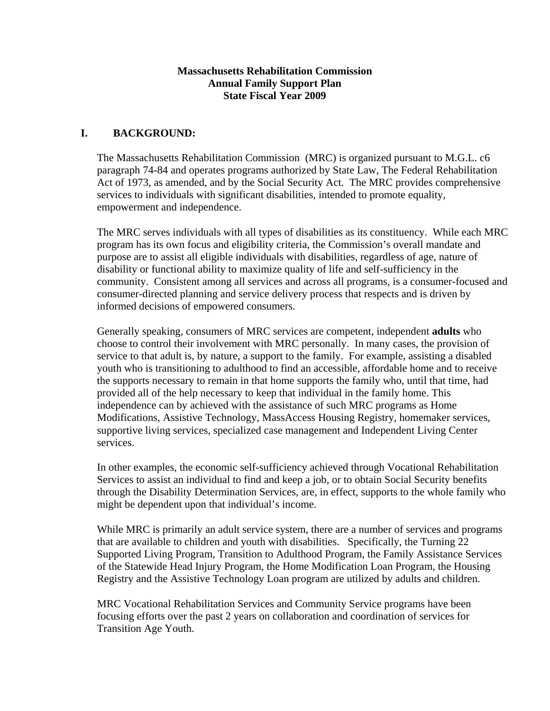#### **Massachusetts Rehabilitation Commission Annual Family Support Plan State Fiscal Year 2009**

## **I. BACKGROUND:**

The Massachusetts Rehabilitation Commission (MRC) is organized pursuant to M.G.L. c6 paragraph 74-84 and operates programs authorized by State Law, The Federal Rehabilitation Act of 1973, as amended, and by the Social Security Act. The MRC provides comprehensive services to individuals with significant disabilities, intended to promote equality, empowerment and independence.

The MRC serves individuals with all types of disabilities as its constituency. While each MRC program has its own focus and eligibility criteria, the Commission's overall mandate and purpose are to assist all eligible individuals with disabilities, regardless of age, nature of disability or functional ability to maximize quality of life and self-sufficiency in the community. Consistent among all services and across all programs, is a consumer-focused and consumer-directed planning and service delivery process that respects and is driven by informed decisions of empowered consumers.

Generally speaking, consumers of MRC services are competent, independent **adults** who choose to control their involvement with MRC personally. In many cases, the provision of service to that adult is, by nature, a support to the family. For example, assisting a disabled youth who is transitioning to adulthood to find an accessible, affordable home and to receive the supports necessary to remain in that home supports the family who, until that time, had provided all of the help necessary to keep that individual in the family home. This independence can by achieved with the assistance of such MRC programs as Home Modifications, Assistive Technology, MassAccess Housing Registry, homemaker services, supportive living services, specialized case management and Independent Living Center services.

In other examples, the economic self-sufficiency achieved through Vocational Rehabilitation Services to assist an individual to find and keep a job, or to obtain Social Security benefits through the Disability Determination Services, are, in effect, supports to the whole family who might be dependent upon that individual's income.

While MRC is primarily an adult service system, there are a number of services and programs that are available to children and youth with disabilities. Specifically, the Turning 22 Supported Living Program, Transition to Adulthood Program, the Family Assistance Services of the Statewide Head Injury Program, the Home Modification Loan Program, the Housing Registry and the Assistive Technology Loan program are utilized by adults and children.

MRC Vocational Rehabilitation Services and Community Service programs have been focusing efforts over the past 2 years on collaboration and coordination of services for Transition Age Youth.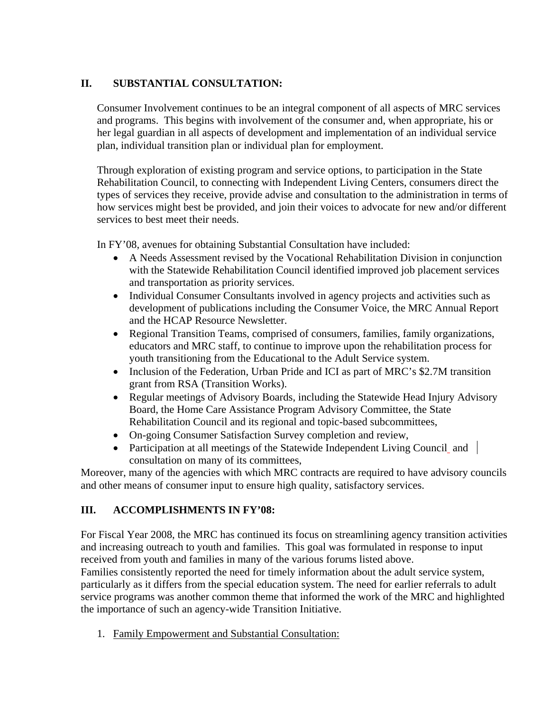# **II. SUBSTANTIAL CONSULTATION:**

Consumer Involvement continues to be an integral component of all aspects of MRC services and programs. This begins with involvement of the consumer and, when appropriate, his or her legal guardian in all aspects of development and implementation of an individual service plan, individual transition plan or individual plan for employment.

Through exploration of existing program and service options, to participation in the State Rehabilitation Council, to connecting with Independent Living Centers, consumers direct the types of services they receive, provide advise and consultation to the administration in terms of how services might best be provided, and join their voices to advocate for new and/or different services to best meet their needs.

In FY'08, avenues for obtaining Substantial Consultation have included:

- A Needs Assessment revised by the Vocational Rehabilitation Division in conjunction with the Statewide Rehabilitation Council identified improved job placement services and transportation as priority services.
- Individual Consumer Consultants involved in agency projects and activities such as development of publications including the Consumer Voice, the MRC Annual Report and the HCAP Resource Newsletter.
- Regional Transition Teams, comprised of consumers, families, family organizations, educators and MRC staff, to continue to improve upon the rehabilitation process for youth transitioning from the Educational to the Adult Service system.
- Inclusion of the Federation, Urban Pride and ICI as part of MRC's \$2.7M transition grant from RSA (Transition Works).
- Regular meetings of Advisory Boards, including the Statewide Head Injury Advisory Board, the Home Care Assistance Program Advisory Committee, the State Rehabilitation Council and its regional and topic-based subcommittees,
- On-going Consumer Satisfaction Survey completion and review,
- Participation at all meetings of the Statewide Independent Living Council and consultation on many of its committees,

Moreover, many of the agencies with which MRC contracts are required to have advisory councils and other means of consumer input to ensure high quality, satisfactory services.

# **III. ACCOMPLISHMENTS IN FY'08:**

For Fiscal Year 2008, the MRC has continued its focus on streamlining agency transition activities and increasing outreach to youth and families. This goal was formulated in response to input received from youth and families in many of the various forums listed above. Families consistently reported the need for timely information about the adult service system, particularly as it differs from the special education system. The need for earlier referrals to adult service programs was another common theme that informed the work of the MRC and highlighted the importance of such an agency-wide Transition Initiative.

1. Family Empowerment and Substantial Consultation: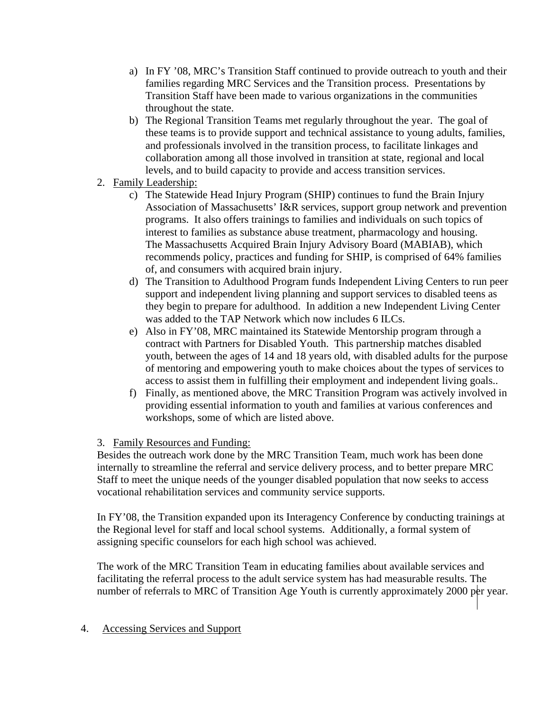- a) In FY '08, MRC's Transition Staff continued to provide outreach to youth and their families regarding MRC Services and the Transition process. Presentations by Transition Staff have been made to various organizations in the communities throughout the state.
- b) The Regional Transition Teams met regularly throughout the year. The goal of these teams is to provide support and technical assistance to young adults, families, and professionals involved in the transition process, to facilitate linkages and collaboration among all those involved in transition at state, regional and local levels, and to build capacity to provide and access transition services.
- 2. Family Leadership:
	- c) The Statewide Head Injury Program (SHIP) continues to fund the Brain Injury Association of Massachusetts' I&R services, support group network and prevention programs. It also offers trainings to families and individuals on such topics of interest to families as substance abuse treatment, pharmacology and housing. The Massachusetts Acquired Brain Injury Advisory Board (MABIAB), which recommends policy, practices and funding for SHIP, is comprised of 64% families of, and consumers with acquired brain injury.
	- d) The Transition to Adulthood Program funds Independent Living Centers to run peer support and independent living planning and support services to disabled teens as they begin to prepare for adulthood. In addition a new Independent Living Center was added to the TAP Network which now includes 6 ILCs.
	- e) Also in FY'08, MRC maintained its Statewide Mentorship program through a contract with Partners for Disabled Youth. This partnership matches disabled youth, between the ages of 14 and 18 years old, with disabled adults for the purpose of mentoring and empowering youth to make choices about the types of services to access to assist them in fulfilling their employment and independent living goals..
	- f) Finally, as mentioned above, the MRC Transition Program was actively involved in providing essential information to youth and families at various conferences and workshops, some of which are listed above.

### 3. Family Resources and Funding:

Besides the outreach work done by the MRC Transition Team, much work has been done internally to streamline the referral and service delivery process, and to better prepare MRC Staff to meet the unique needs of the younger disabled population that now seeks to access vocational rehabilitation services and community service supports.

In FY'08, the Transition expanded upon its Interagency Conference by conducting trainings at the Regional level for staff and local school systems. Additionally, a formal system of assigning specific counselors for each high school was achieved.

The work of the MRC Transition Team in educating families about available services and facilitating the referral process to the adult service system has had measurable results. The number of referrals to MRC of Transition Age Youth is currently approximately 2000 per year.

#### 4. Accessing Services and Support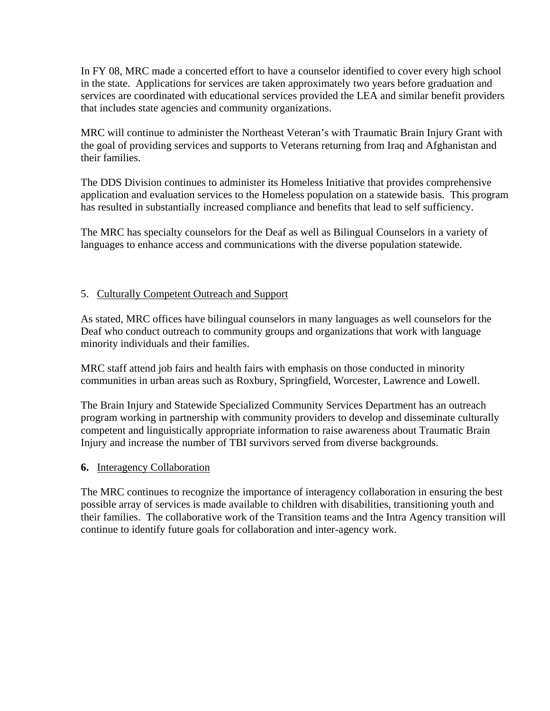In FY 08, MRC made a concerted effort to have a counselor identified to cover every high school in the state. Applications for services are taken approximately two years before graduation and services are coordinated with educational services provided the LEA and similar benefit providers that includes state agencies and community organizations.

MRC will continue to administer the Northeast Veteran's with Traumatic Brain Injury Grant with the goal of providing services and supports to Veterans returning from Iraq and Afghanistan and their families.

The DDS Division continues to administer its Homeless Initiative that provides comprehensive application and evaluation services to the Homeless population on a statewide basis. This program has resulted in substantially increased compliance and benefits that lead to self sufficiency.

The MRC has specialty counselors for the Deaf as well as Bilingual Counselors in a variety of languages to enhance access and communications with the diverse population statewide.

## 5. Culturally Competent Outreach and Support

As stated, MRC offices have bilingual counselors in many languages as well counselors for the Deaf who conduct outreach to community groups and organizations that work with language minority individuals and their families.

MRC staff attend job fairs and health fairs with emphasis on those conducted in minority communities in urban areas such as Roxbury, Springfield, Worcester, Lawrence and Lowell.

The Brain Injury and Statewide Specialized Community Services Department has an outreach program working in partnership with community providers to develop and disseminate culturally competent and linguistically appropriate information to raise awareness about Traumatic Brain Injury and increase the number of TBI survivors served from diverse backgrounds.

### **6.** Interagency Collaboration

The MRC continues to recognize the importance of interagency collaboration in ensuring the best possible array of services is made available to children with disabilities, transitioning youth and their families. The collaborative work of the Transition teams and the Intra Agency transition will continue to identify future goals for collaboration and inter-agency work.